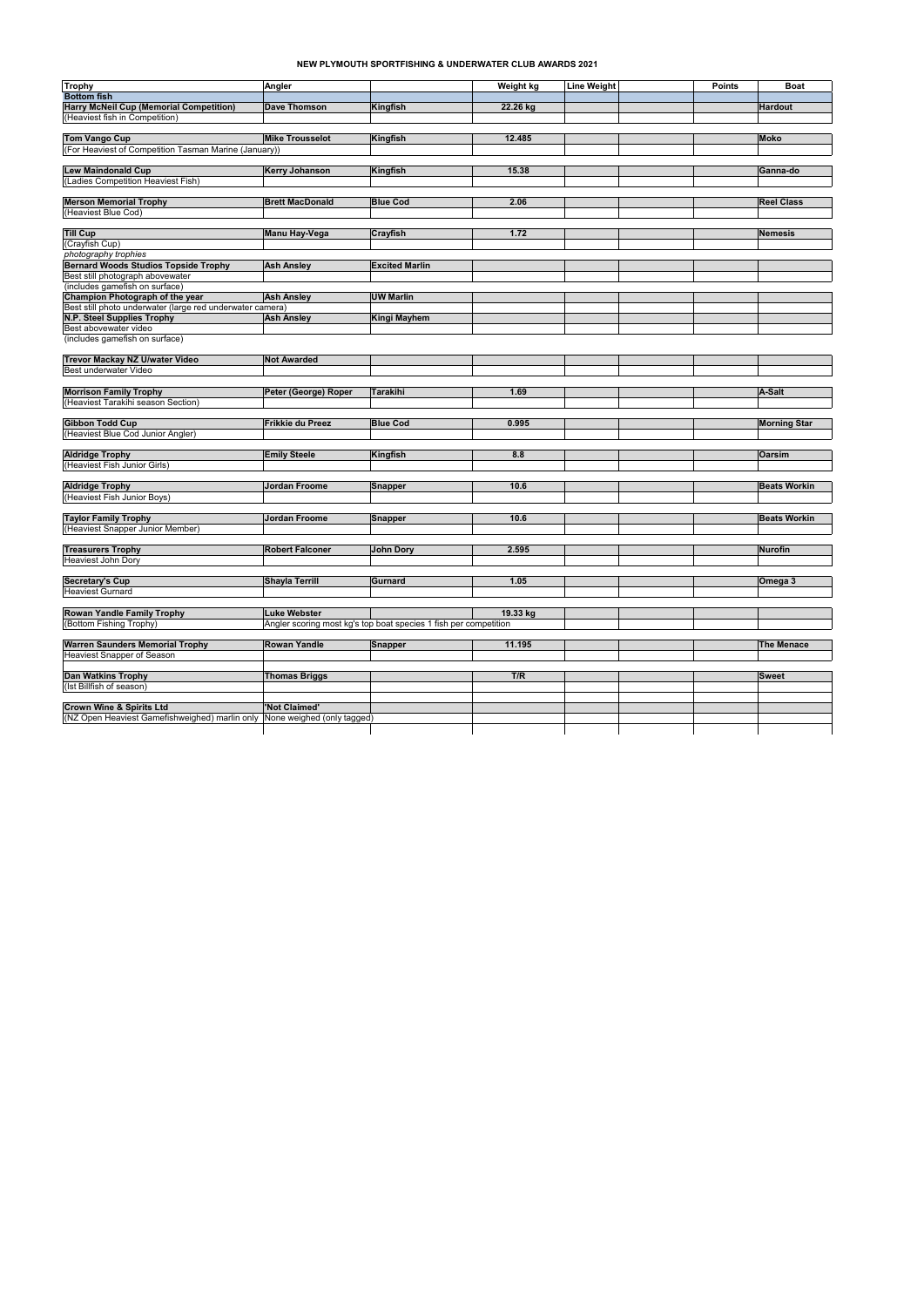| <b>Trophy</b>                                             | Angler                                                           |                       | <b>Weight kg</b> | <b>Line Weight</b> | <b>Points</b> | <b>Boat</b>         |
|-----------------------------------------------------------|------------------------------------------------------------------|-----------------------|------------------|--------------------|---------------|---------------------|
| <b>Bottom fish</b>                                        |                                                                  |                       |                  |                    |               |                     |
| <b>Harry McNeil Cup (Memorial Competition)</b>            | Dave Thomson                                                     | Kingfish              | 22.26 kg         |                    |               | <b>Hardout</b>      |
| (Heaviest fish in Competition)                            |                                                                  |                       |                  |                    |               |                     |
|                                                           |                                                                  |                       |                  |                    |               |                     |
| <b>Tom Vango Cup</b>                                      | <b>Mike Trousselot</b>                                           | Kingfish              | 12.485           |                    |               | <b>Moko</b>         |
| (For Heaviest of Competition Tasman Marine (January))     |                                                                  |                       |                  |                    |               |                     |
|                                                           |                                                                  |                       |                  |                    |               |                     |
| <b>Lew Maindonald Cup</b>                                 | <b>Kerry Johanson</b>                                            | Kingfish              | 15.38            |                    |               | Ganna-do            |
| (Ladies Competition Heaviest Fish)                        |                                                                  |                       |                  |                    |               |                     |
|                                                           |                                                                  |                       |                  |                    |               |                     |
| <b>Merson Memorial Trophy</b>                             | <b>Brett MacDonald</b>                                           | <b>Blue Cod</b>       | 2.06             |                    |               | <b>Reel Class</b>   |
| (Heaviest Blue Cod)                                       |                                                                  |                       |                  |                    |               |                     |
|                                                           |                                                                  |                       |                  |                    |               |                     |
| <b>Till Cup</b>                                           | Manu Hay-Vega                                                    | <b>Crayfish</b>       | 1.72             |                    |               | <b>Nemesis</b>      |
| (Crayfish Cup)                                            |                                                                  |                       |                  |                    |               |                     |
| photography trophies                                      |                                                                  |                       |                  |                    |               |                     |
| <b>Bernard Woods Studios Topside Trophy</b>               | <b>Ash Ansley</b>                                                | <b>Excited Marlin</b> |                  |                    |               |                     |
| Best still photograph abovewater                          |                                                                  |                       |                  |                    |               |                     |
| (includes gamefish on surface)                            |                                                                  |                       |                  |                    |               |                     |
| Champion Photograph of the year                           | <b>Ash Ansley</b>                                                | <b>UW Marlin</b>      |                  |                    |               |                     |
| Best still photo underwater (large red underwater camera) |                                                                  |                       |                  |                    |               |                     |
| N.P. Steel Supplies Trophy                                | <b>Ash Ansley</b>                                                | <b>Kingi Mayhem</b>   |                  |                    |               |                     |
| Best abovewater video                                     |                                                                  |                       |                  |                    |               |                     |
| (includes gamefish on surface)                            |                                                                  |                       |                  |                    |               |                     |
|                                                           |                                                                  |                       |                  |                    |               |                     |
| Trevor Mackay NZ U/water Video                            | <b>Not Awarded</b>                                               |                       |                  |                    |               |                     |
| Best underwater Video                                     |                                                                  |                       |                  |                    |               |                     |
|                                                           |                                                                  |                       |                  |                    |               |                     |
| <b>Morrison Family Trophy</b>                             | Peter (George) Roper                                             | <b>Tarakihi</b>       | 1.69             |                    |               | A-Salt              |
| (Heaviest Tarakihi season Section)                        |                                                                  |                       |                  |                    |               |                     |
|                                                           |                                                                  |                       |                  |                    |               |                     |
| <b>Gibbon Todd Cup</b>                                    | Frikkie du Preez                                                 | <b>Blue Cod</b>       | 0.995            |                    |               |                     |
| (Heaviest Blue Cod Junior Angler)                         |                                                                  |                       |                  |                    |               | <b>Morning Star</b> |
|                                                           |                                                                  |                       |                  |                    |               |                     |
| <b>Aldridge Trophy</b>                                    | <b>Emily Steele</b>                                              |                       | 8.8              |                    |               | <b>Oarsim</b>       |
|                                                           |                                                                  | Kingfish              |                  |                    |               |                     |
| (Heaviest Fish Junior Girls)                              |                                                                  |                       |                  |                    |               |                     |
|                                                           |                                                                  |                       |                  |                    |               |                     |
| <b>Aldridge Trophy</b>                                    | <b>Jordan Froome</b>                                             | Snapper               | 10.6             |                    |               | <b>Beats Workin</b> |
| (Heaviest Fish Junior Boys)                               |                                                                  |                       |                  |                    |               |                     |
|                                                           |                                                                  |                       |                  |                    |               |                     |
| <b>Taylor Family Trophy</b>                               | Jordan Froome                                                    | Snapper               | 10.6             |                    |               | <b>Beats Workin</b> |
| (Heaviest Snapper Junior Member)                          |                                                                  |                       |                  |                    |               |                     |
|                                                           |                                                                  |                       |                  |                    |               |                     |
| <b>Treasurers Trophy</b>                                  | <b>Robert Falconer</b>                                           | John Dory             | 2.595            |                    |               | <b>Nurofin</b>      |
| <b>Heaviest John Dory</b>                                 |                                                                  |                       |                  |                    |               |                     |
|                                                           |                                                                  |                       |                  |                    |               |                     |
| <b>Secretary's Cup</b>                                    | <b>Shayla Terrill</b>                                            | Gurnard               | 1.05             |                    |               | Omega 3             |
| <b>Heaviest Gurnard</b>                                   |                                                                  |                       |                  |                    |               |                     |
|                                                           |                                                                  |                       |                  |                    |               |                     |
| <b>Rowan Yandle Family Trophy</b>                         | <b>Luke Webster</b>                                              |                       | 19.33 kg         |                    |               |                     |
| (Bottom Fishing Trophy)                                   | Angler scoring most kg's top boat species 1 fish per competition |                       |                  |                    |               |                     |
|                                                           |                                                                  |                       |                  |                    |               |                     |
| <b>Warren Saunders Memorial Trophy</b>                    | <b>Rowan Yandle</b>                                              | Snapper               | 11.195           |                    |               | <b>The Menace</b>   |
| <b>Heaviest Snapper of Season</b>                         |                                                                  |                       |                  |                    |               |                     |
|                                                           |                                                                  |                       |                  |                    |               |                     |
|                                                           |                                                                  |                       |                  |                    |               | <b>Sweet</b>        |
| <b>Dan Watkins Trophy</b>                                 | <b>Thomas Briggs</b>                                             |                       | T/R              |                    |               |                     |
| (Ist Billfish of season)                                  |                                                                  |                       |                  |                    |               |                     |
|                                                           |                                                                  |                       |                  |                    |               |                     |
| <b>Crown Wine &amp; Spirits Ltd</b>                       | 'Not Claimed'                                                    |                       |                  |                    |               |                     |
| (NZ Open Heaviest Gamefishweighed) marlin only            | None weighed (only tagged)                                       |                       |                  |                    |               |                     |

## **NEW PLYMOUTH SPORTFISHING & UNDERWATER CLUB AWARDS 2021**